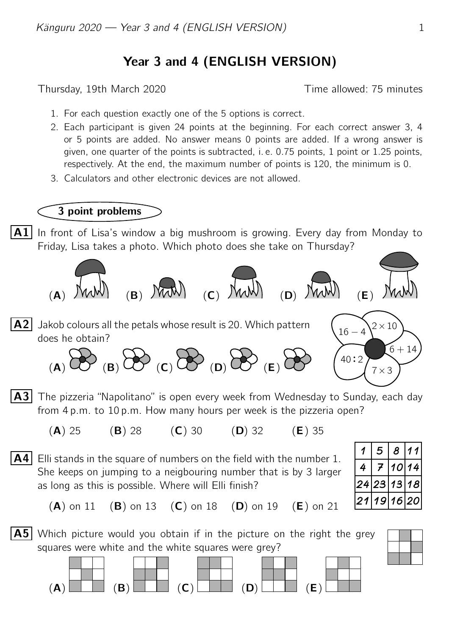## Year 3 and 4 (ENGLISH VERSION)

Thursday, 19th March 2020 Thursday, 19th March 2020

- 1. For each question exactly one of the 5 options is correct.
- 2. Each participant is given 24 points at the beginning. For each correct answer 3, 4 or 5 points are added. No answer means 0 points are added. If a wrong answer is given, one quarter of the points is subtracted, i. e. 0.75 points, 1 point or 1.25 points, respectively. At the end, the maximum number of points is 120, the minimum is 0.
- 3. Calculators and other electronic devices are not allowed.

## 3 point problems

**A1** In front of Lisa's window a big mushroom is growing. Every day from Monday to Friday, Lisa takes a photo. Which photo does she take on Thursday?



- **A3** The pizzeria "Napolitano" is open every week from Wednesday to Sunday, each day from 4 p.m. to 10 p.m. How many hours per week is the pizzeria open?
	- (A) 25 (B) 28 (C) 30 (D) 32 (E) 35
- $\overline{A4}$  Elli stands in the square of numbers on the field with the number 1. She keeps on jumping to a neigbouring number that is by 3 larger as long as this is possible. Where will Elli finish?

|    |              | $\boldsymbol{C}$ |         |
|----|--------------|------------------|---------|
| 24 | $\mathbf{A}$ | 13               | 18      |
|    | 9            | 16               | 2<br>ι. |

 $(A)$  on 11  $(B)$  on 13  $(C)$  on 18  $(D)$  on 19  $(E)$  on 21



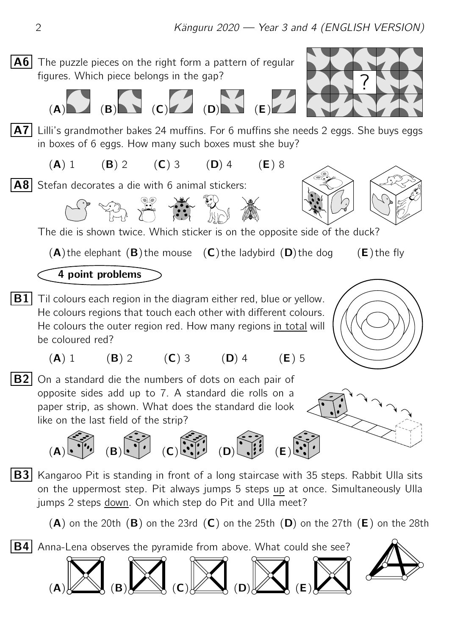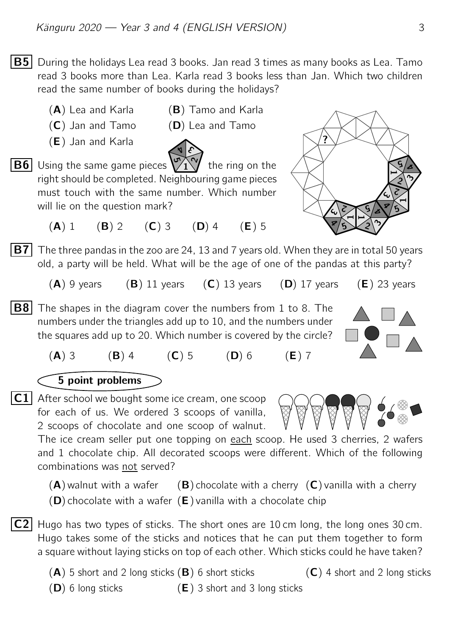$|\mathbf{B5}|$  During the holidays Lea read 3 books. Jan read 3 times as many books as Lea. Tamo read 3 books more than Lea. Karla read 3 books less than Jan. Which two children read the same number of books during the holidays?

- $(A)$  Lea and Karla  $(B)$  Tamo and Karla
- $(C)$  Jan and Tamo  $(D)$  Lea and Tamo
- (E) Jan and Karla



- $\overline{\mathsf{B6}}$  Using the same game pieces  $\sqrt[\mathbb{J}]{1}$  the ring on the right should be completed. Neighbouring game pieces must touch with the same number. Which number will lie on the question mark?
	- (A) 1 (B) 2 (C) 3 (D) 4 (E) 5



 $(A)$  9 years (B) 11 years (C) 13 years (D) 17 years (E) 23 years

- **B8** The shapes in the diagram cover the numbers from 1 to 8. The numbers under the triangles add up to 10, and the numbers under the squares add up to 20. Which number is covered by the circle?
	- (A) 3 (B) 4 (C) 5 (D) 6 (E) 7

## 5 point problems

 $|C1|$  After school we bought some ice cream, one scoop for each of us. We ordered 3 scoops of vanilla, 2 scoops of chocolate and one scoop of walnut.

The ice cream seller put one topping on each scoop. He used 3 cherries, 2 wafers and 1 chocolate chip. All decorated scoops were different. Which of the following combinations was not served?

 $(A)$  walnut with a wafer (B) chocolate with a cherry  $(C)$  vanilla with a cherry  $(D)$  chocolate with a wafer  $(E)$  vanilla with a chocolate chip

- $|C2|$  Hugo has two types of sticks. The short ones are 10 cm long, the long ones 30 cm. Hugo takes some of the sticks and notices that he can put them together to form a square without laying sticks on top of each other. Which sticks could he have taken?
	- $(A)$  5 short and 2 long sticks  $(B)$  6 short sticks  $(C)$  4 short and 2 long sticks

- 
- $(D)$  6 long sticks  $(E)$  3 short and 3 long sticks